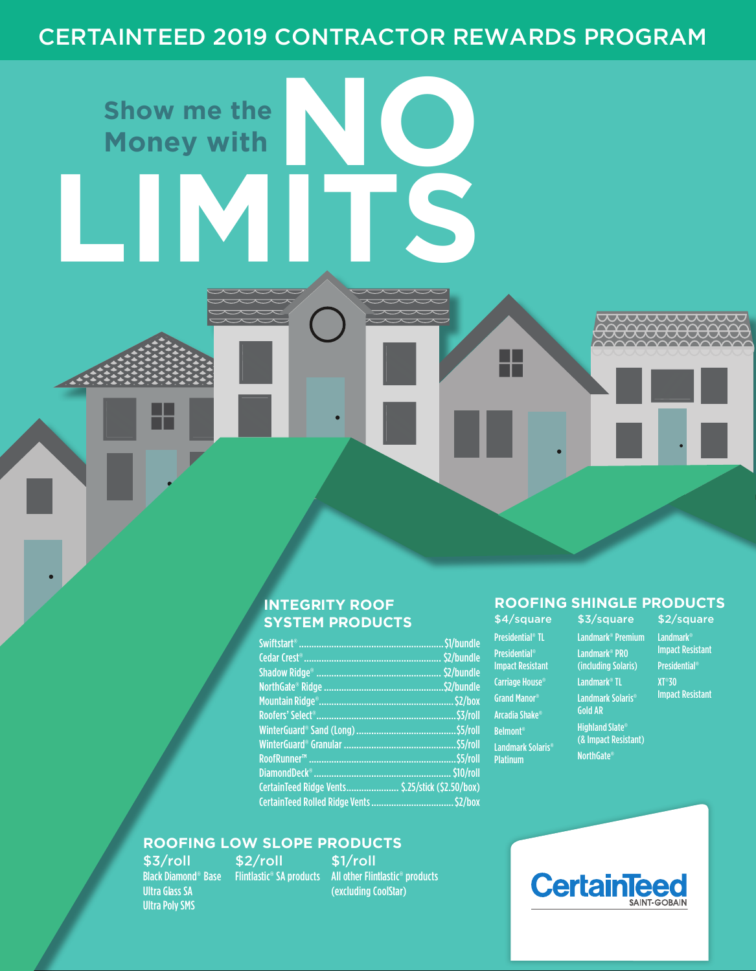## CERTAINTEED 2019 CONTRACTOR REWARDS PROGRAM

**NO** 

# **SYSTEM PRODUCTS** \$4/square

Swiftstart®..........................................................\$1/bundle Cedar Crest®....................................................... \$2/bundle Shadow Ridge® .................................................. \$2/bundle NorthGate® Ridge................................................\$2/bundle Mountain Ridge®......................................................\$2/box Roofers' Select®........................................................\$3/roll WinterGuard® Sand (Long)........................................\$5/roll WinterGuard® Granular .............................................\$5/roll RoofRunner™ ...........................................................\$5/roll DiamondDeck®.......................................................\$10/roll CertainTeed Ridge Vents..................... \$.25/stick (\$2.50/box) CertainTeed Rolled Ridge Vents.................................\$2/box

## **ROOFING LOW SLOPE PRODUCTS**

\$2/roll

\$3/roll Ultra Glass SA Ultra Poly SMS

**Show me the**

**Money with**

**LIMITS**

Black Diamond® Base Flintlastic® SA products All other Flintlastic® products \$1/roll (excluding CoolStar)

#### **INTEGRITY ROOF ROOFING SHINGLE PRODUCTS**

Presidential® TL Presidential® Impact Resistant Carriage House® Grand Manor® Arcadia Shake® Belmont® Landmark Solaris® Platinum

╙

\$3/square Landmark® Premium Landmark® Landmark® PRO (including Solaris) Landmark® TL Landmark Solaris® Gold AR Highland Slate® (& Impact Resistant)

NorthGate®

\$2/square Impact Resistant Presidential® XT®30 Impact Resistant

mummu